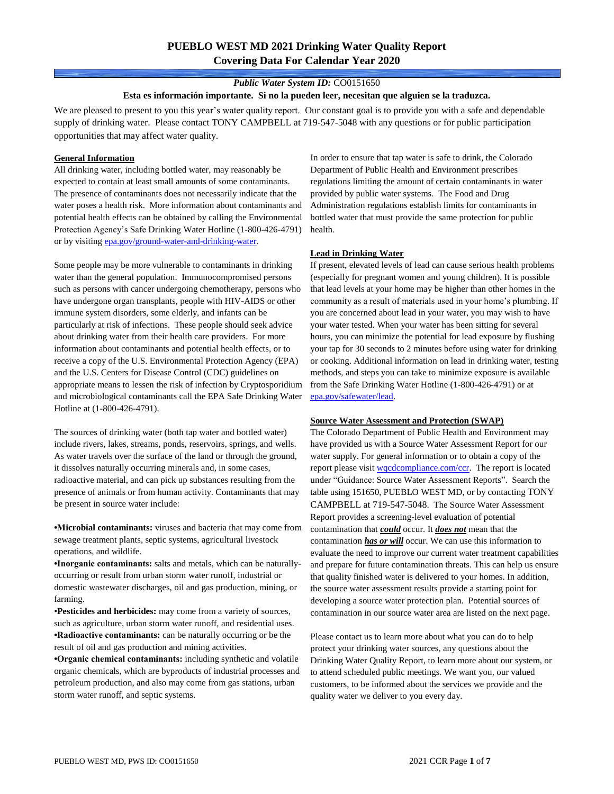# **PUEBLO WEST MD 2021 Drinking Water Quality Report Covering Data For Calendar Year 2020**

### *Public Water System ID:* CO0151650

#### **Esta es información importante. Si no la pueden leer, necesitan que alguien se la traduzca.**

We are pleased to present to you this year's water quality report. Our constant goal is to provide you with a safe and dependable supply of drinking water. Please contact TONY CAMPBELL at 719-547-5048 with any questions or for public participation opportunities that may affect water quality.

#### **General Information**

All drinking water, including bottled water, may reasonably be expected to contain at least small amounts of some contaminants. The presence of contaminants does not necessarily indicate that the water poses a health risk. More information about contaminants and potential health effects can be obtained by calling the Environmental Protection Agency's Safe Drinking Water Hotline (1-800-426-4791) or by visiting [epa.gov/ground-water-and-drinking-water.](https://www.epa.gov/ground-water-and-drinking-water)

Some people may be more vulnerable to contaminants in drinking water than the general population. Immunocompromised persons such as persons with cancer undergoing chemotherapy, persons who have undergone organ transplants, people with HIV-AIDS or other immune system disorders, some elderly, and infants can be particularly at risk of infections. These people should seek advice about drinking water from their health care providers. For more information about contaminants and potential health effects, or to receive a copy of the U.S. Environmental Protection Agency (EPA) and the U.S. Centers for Disease Control (CDC) guidelines on appropriate means to lessen the risk of infection by Cryptosporidium and microbiological contaminants call the EPA Safe Drinking Water Hotline at (1-800-426-4791).

The sources of drinking water (both tap water and bottled water) include rivers, lakes, streams, ponds, reservoirs, springs, and wells. As water travels over the surface of the land or through the ground, it dissolves naturally occurring minerals and, in some cases, radioactive material, and can pick up substances resulting from the presence of animals or from human activity. Contaminants that may be present in source water include:

**•Microbial contaminants:** viruses and bacteria that may come from sewage treatment plants, septic systems, agricultural livestock operations, and wildlife.

**•Inorganic contaminants:** salts and metals, which can be naturallyoccurring or result from urban storm water runoff, industrial or domestic wastewater discharges, oil and gas production, mining, or farming.

•**Pesticides and herbicides:** may come from a variety of sources, such as agriculture, urban storm water runoff, and residential uses. **•Radioactive contaminants:** can be naturally occurring or be the result of oil and gas production and mining activities.

**•Organic chemical contaminants:** including synthetic and volatile organic chemicals, which are byproducts of industrial processes and petroleum production, and also may come from gas stations, urban storm water runoff, and septic systems.

In order to ensure that tap water is safe to drink, the Colorado Department of Public Health and Environment prescribes regulations limiting the amount of certain contaminants in water provided by public water systems. The Food and Drug Administration regulations establish limits for contaminants in bottled water that must provide the same protection for public health.

### **Lead in Drinking Water**

If present, elevated levels of lead can cause serious health problems (especially for pregnant women and young children). It is possible that lead levels at your home may be higher than other homes in the community as a result of materials used in your home's plumbing. If you are concerned about lead in your water, you may wish to have your water tested. When your water has been sitting for several hours, you can minimize the potential for lead exposure by flushing your tap for 30 seconds to 2 minutes before using water for drinking or cooking. Additional information on lead in drinking water, testing methods, and steps you can take to minimize exposure is available from the Safe Drinking Water Hotline (1-800-426-4791) or at [epa.gov/safewater/lead.](http://www.epa.gov/safewater/lead) 

### **Source Water Assessment and Protection (SWAP)**

The Colorado Department of Public Health and Environment may have provided us with a Source Water Assessment Report for our water supply. For general information or to obtain a copy of the report please visit [wqcdcompliance.com/ccr.](https://wqcdcompliance.com/ccr) The report is located under "Guidance: Source Water Assessment Reports". Search the table using 151650, PUEBLO WEST MD, or by contacting TONY CAMPBELL at 719-547-5048. The Source Water Assessment Report provides a screening-level evaluation of potential contamination that *could* occur. It *does not* mean that the contamination *has or will* occur. We can use this information to evaluate the need to improve our current water treatment capabilities and prepare for future contamination threats. This can help us ensure that quality finished water is delivered to your homes. In addition, the source water assessment results provide a starting point for developing a source water protection plan. Potential sources of contamination in our source water area are listed on the next page.

Please contact us to learn more about what you can do to help protect your drinking water sources, any questions about the Drinking Water Quality Report, to learn more about our system, or to attend scheduled public meetings. We want you, our valued customers, to be informed about the services we provide and the quality water we deliver to you every day.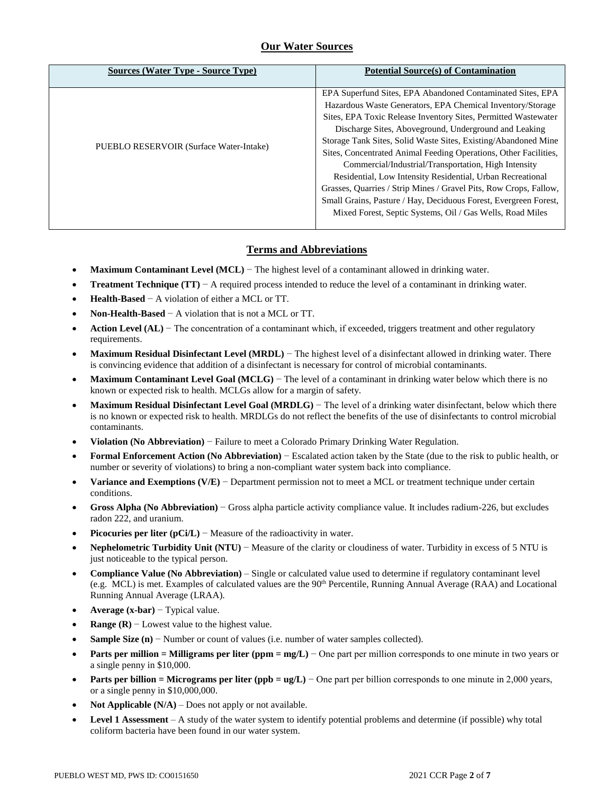## **Our Water Sources**

| <b>Sources (Water Type - Source Type)</b> | <b>Potential Source(s) of Contamination</b>                                                                                                                                                                                                                                                                                                                                                                                                                                                                                                                                                                                                                                                                           |
|-------------------------------------------|-----------------------------------------------------------------------------------------------------------------------------------------------------------------------------------------------------------------------------------------------------------------------------------------------------------------------------------------------------------------------------------------------------------------------------------------------------------------------------------------------------------------------------------------------------------------------------------------------------------------------------------------------------------------------------------------------------------------------|
| PUEBLO RESERVOIR (Surface Water-Intake)   | EPA Superfund Sites, EPA Abandoned Contaminated Sites, EPA<br>Hazardous Waste Generators, EPA Chemical Inventory/Storage<br>Sites, EPA Toxic Release Inventory Sites, Permitted Wastewater<br>Discharge Sites, Aboveground, Underground and Leaking<br>Storage Tank Sites, Solid Waste Sites, Existing/Abandoned Mine<br>Sites, Concentrated Animal Feeding Operations, Other Facilities,<br>Commercial/Industrial/Transportation, High Intensity<br>Residential, Low Intensity Residential, Urban Recreational<br>Grasses, Quarries / Strip Mines / Gravel Pits, Row Crops, Fallow,<br>Small Grains, Pasture / Hay, Deciduous Forest, Evergreen Forest,<br>Mixed Forest, Septic Systems, Oil / Gas Wells, Road Miles |

## **Terms and Abbreviations**

- **Maximum Contaminant Level (MCL)** − The highest level of a contaminant allowed in drinking water.
- **Treatment Technique (TT)**  $A$  required process intended to reduce the level of a contaminant in drinking water.
- **Health-Based** − A violation of either a MCL or TT.
- **Non-Health-Based** − A violation that is not a MCL or TT.
- **Action Level (AL)** − The concentration of a contaminant which, if exceeded, triggers treatment and other regulatory requirements.
- **Maximum Residual Disinfectant Level (MRDL)** − The highest level of a disinfectant allowed in drinking water. There is convincing evidence that addition of a disinfectant is necessary for control of microbial contaminants.
- **Maximum Contaminant Level Goal (MCLG)** − The level of a contaminant in drinking water below which there is no known or expected risk to health. MCLGs allow for a margin of safety.
- **Maximum Residual Disinfectant Level Goal (MRDLG)** − The level of a drinking water disinfectant, below which there is no known or expected risk to health. MRDLGs do not reflect the benefits of the use of disinfectants to control microbial contaminants.
- **Violation (No Abbreviation)** − Failure to meet a Colorado Primary Drinking Water Regulation.
- **Formal Enforcement Action (No Abbreviation)** − Escalated action taken by the State (due to the risk to public health, or number or severity of violations) to bring a non-compliant water system back into compliance.
- **Variance and Exemptions (V/E)** − Department permission not to meet a MCL or treatment technique under certain conditions.
- **Gross Alpha (No Abbreviation)** − Gross alpha particle activity compliance value. It includes radium-226, but excludes radon 222, and uranium.
- **Picocuries per liter (pCi/L)** − Measure of the radioactivity in water.
- **Nephelometric Turbidity Unit (NTU)** − Measure of the clarity or cloudiness of water. Turbidity in excess of 5 NTU is just noticeable to the typical person.
- **Compliance Value (No Abbreviation)** Single or calculated value used to determine if regulatory contaminant level (e.g. MCL) is met. Examples of calculated values are the 90th Percentile, Running Annual Average (RAA) and Locational Running Annual Average (LRAA).
- **Average (x-bar)** − Typical value.
- **Range (R)**  $-$  Lowest value to the highest value.
- **Sample Size (n)** − Number or count of values (i.e. number of water samples collected).
- **Parts per million = Milligrams per liter (ppm = mg/L)** − One part per million corresponds to one minute in two years or a single penny in \$10,000.
- **Parts per billion = Micrograms per liter (ppb = ug/L)** − One part per billion corresponds to one minute in 2,000 years, or a single penny in \$10,000,000.
- **Not Applicable (N/A)** Does not apply or not available.
- **Level 1 Assessment** A study of the water system to identify potential problems and determine (if possible) why total coliform bacteria have been found in our water system.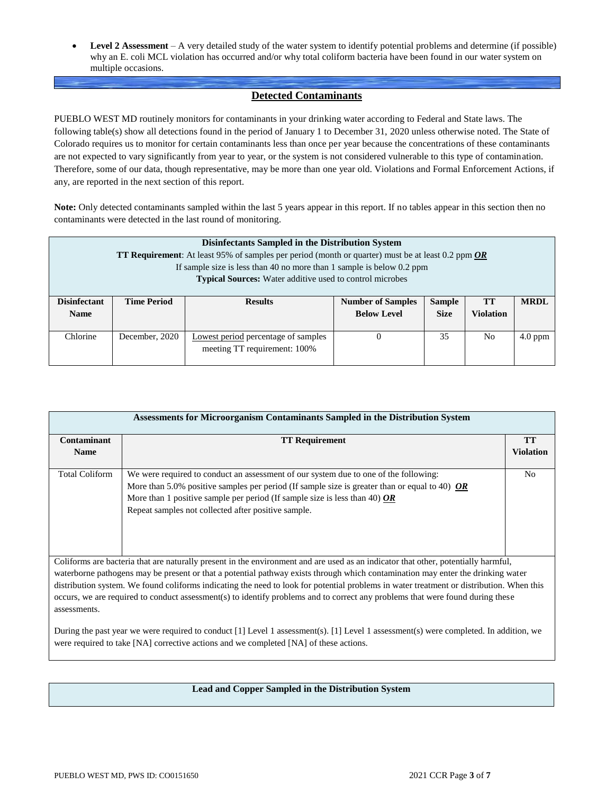**Level 2 Assessment** – A very detailed study of the water system to identify potential problems and determine (if possible) why an E. coli MCL violation has occurred and/or why total coliform bacteria have been found in our water system on multiple occasions.

### **Detected Contaminants**

PUEBLO WEST MD routinely monitors for contaminants in your drinking water according to Federal and State laws. The following table(s) show all detections found in the period of January 1 to December 31, 2020 unless otherwise noted. The State of Colorado requires us to monitor for certain contaminants less than once per year because the concentrations of these contaminants are not expected to vary significantly from year to year, or the system is not considered vulnerable to this type of contamination. Therefore, some of our data, though representative, may be more than one year old. Violations and Formal Enforcement Actions, if any, are reported in the next section of this report.

**Note:** Only detected contaminants sampled within the last 5 years appear in this report. If no tables appear in this section then no contaminants were detected in the last round of monitoring.

|                     | Disinfectants Sampled in the Distribution System |                                                                                                          |                          |               |                  |             |  |  |  |
|---------------------|--------------------------------------------------|----------------------------------------------------------------------------------------------------------|--------------------------|---------------|------------------|-------------|--|--|--|
|                     |                                                  | <b>TT Requirement:</b> At least 95% of samples per period (month or quarter) must be at least 0.2 ppm OR |                          |               |                  |             |  |  |  |
|                     |                                                  | If sample size is less than 40 no more than 1 sample is below 0.2 ppm                                    |                          |               |                  |             |  |  |  |
|                     |                                                  | <b>Typical Sources:</b> Water additive used to control microbes                                          |                          |               |                  |             |  |  |  |
|                     |                                                  |                                                                                                          |                          |               |                  |             |  |  |  |
| <b>Disinfectant</b> | <b>Time Period</b>                               | <b>Results</b>                                                                                           | <b>Number of Samples</b> | <b>Sample</b> | TТ               | <b>MRDL</b> |  |  |  |
| <b>Name</b>         |                                                  |                                                                                                          | <b>Below Level</b>       | <b>Size</b>   | <b>Violation</b> |             |  |  |  |
|                     |                                                  |                                                                                                          |                          |               |                  |             |  |  |  |
| Chlorine            | December, 2020                                   | Lowest period percentage of samples                                                                      | $\theta$                 | 35            | No.              | $4.0$ ppm   |  |  |  |
|                     | meeting TT requirement: 100%                     |                                                                                                          |                          |               |                  |             |  |  |  |
|                     |                                                  |                                                                                                          |                          |               |                  |             |  |  |  |

| Assessments for Microorganism Contaminants Sampled in the Distribution System                                                                                                                                                  |                                                                                                                                          |                  |  |  |  |  |  |  |
|--------------------------------------------------------------------------------------------------------------------------------------------------------------------------------------------------------------------------------|------------------------------------------------------------------------------------------------------------------------------------------|------------------|--|--|--|--|--|--|
| Contaminant                                                                                                                                                                                                                    | <b>TT Requirement</b>                                                                                                                    | <b>TT</b>        |  |  |  |  |  |  |
| <b>Name</b>                                                                                                                                                                                                                    |                                                                                                                                          | <b>Violation</b> |  |  |  |  |  |  |
|                                                                                                                                                                                                                                |                                                                                                                                          |                  |  |  |  |  |  |  |
| <b>Total Coliform</b>                                                                                                                                                                                                          | We were required to conduct an assessment of our system due to one of the following:                                                     | N <sub>0</sub>   |  |  |  |  |  |  |
|                                                                                                                                                                                                                                | More than 5.0% positive samples per period (If sample size is greater than or equal to 40) $OR$                                          |                  |  |  |  |  |  |  |
|                                                                                                                                                                                                                                | More than 1 positive sample per period (If sample size is less than 40) OR                                                               |                  |  |  |  |  |  |  |
|                                                                                                                                                                                                                                | Repeat samples not collected after positive sample.                                                                                      |                  |  |  |  |  |  |  |
|                                                                                                                                                                                                                                |                                                                                                                                          |                  |  |  |  |  |  |  |
|                                                                                                                                                                                                                                |                                                                                                                                          |                  |  |  |  |  |  |  |
|                                                                                                                                                                                                                                | Coliforms are bacteria that are naturally present in the environment and are used as an indicator that other, potentially harmful,       |                  |  |  |  |  |  |  |
|                                                                                                                                                                                                                                | waterborne pathogens may be present or that a potential pathway exists through which contamination may enter the drinking water          |                  |  |  |  |  |  |  |
|                                                                                                                                                                                                                                | distribution system. We found coliforms indicating the need to look for potential problems in water treatment or distribution. When this |                  |  |  |  |  |  |  |
|                                                                                                                                                                                                                                | occurs, we are required to conduct assessment(s) to identify problems and to correct any problems that were found during these           |                  |  |  |  |  |  |  |
| assessments.                                                                                                                                                                                                                   |                                                                                                                                          |                  |  |  |  |  |  |  |
| During the past year we were required to conduct [1] Level 1 assessment(s). [1] Level 1 assessment(s) were completed. In addition, we<br>were required to take [NA] corrective actions and we completed [NA] of these actions. |                                                                                                                                          |                  |  |  |  |  |  |  |

### **Lead and Copper Sampled in the Distribution System**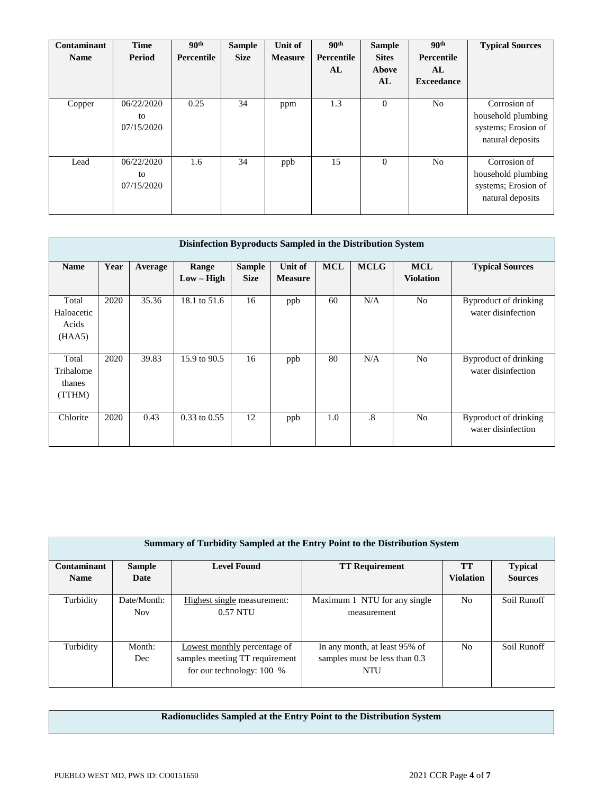| Contaminant<br><b>Name</b> | <b>Time</b><br>Period          | 90 <sup>th</sup><br>Percentile | <b>Sample</b><br><b>Size</b> | Unit of<br><b>Measure</b> | 90 <sup>th</sup><br><b>Percentile</b><br>AL | <b>Sample</b><br><b>Sites</b><br>Above<br>AL | 90 <sup>th</sup><br>Percentile<br>AL<br><b>Exceedance</b> | <b>Typical Sources</b>                                                        |
|----------------------------|--------------------------------|--------------------------------|------------------------------|---------------------------|---------------------------------------------|----------------------------------------------|-----------------------------------------------------------|-------------------------------------------------------------------------------|
| Copper                     | 06/22/2020<br>to<br>07/15/2020 | 0.25                           | 34                           | ppm                       | 1.3                                         | $\Omega$                                     | N <sub>o</sub>                                            | Corrosion of<br>household plumbing<br>systems; Erosion of<br>natural deposits |
| Lead                       | 06/22/2020<br>to<br>07/15/2020 | 1.6                            | 34                           | ppb                       | 15                                          | $\theta$                                     | N <sub>o</sub>                                            | Corrosion of<br>household plumbing<br>systems; Erosion of<br>natural deposits |

| Disinfection Byproducts Sampled in the Distribution System |      |         |                       |                              |                           |            |             |                                |                                             |  |  |  |
|------------------------------------------------------------|------|---------|-----------------------|------------------------------|---------------------------|------------|-------------|--------------------------------|---------------------------------------------|--|--|--|
| <b>Name</b>                                                | Year | Average | Range<br>$Low - High$ | <b>Sample</b><br><b>Size</b> | Unit of<br><b>Measure</b> | <b>MCL</b> | <b>MCLG</b> | <b>MCL</b><br><b>Violation</b> | <b>Typical Sources</b>                      |  |  |  |
| Total<br>Haloacetic<br>Acids<br>(HAA5)                     | 2020 | 35.36   | 18.1 to 51.6          | 16                           | ppb                       | 60         | N/A         | No                             | Byproduct of drinking<br>water disinfection |  |  |  |
| Total<br>Trihalome<br>thanes<br>(TTHM)                     | 2020 | 39.83   | 15.9 to 90.5          | 16                           | ppb                       | 80         | N/A         | N <sub>0</sub>                 | Byproduct of drinking<br>water disinfection |  |  |  |
| Chlorite                                                   | 2020 | 0.43    | $0.33$ to $0.55$      | 12                           | ppb                       | 1.0        | .8          | N <sub>o</sub>                 | Byproduct of drinking<br>water disinfection |  |  |  |

| <b>Summary of Turbidity Sampled at the Entry Point to the Distribution System</b> |                           |                                                                                               |                                                                       |                  |                |  |  |  |  |  |
|-----------------------------------------------------------------------------------|---------------------------|-----------------------------------------------------------------------------------------------|-----------------------------------------------------------------------|------------------|----------------|--|--|--|--|--|
| Contaminant                                                                       | <b>Sample</b>             | <b>Level Found</b>                                                                            | <b>TT Requirement</b>                                                 | <b>TT</b>        | <b>Typical</b> |  |  |  |  |  |
| <b>Name</b>                                                                       | Date                      |                                                                                               |                                                                       | <b>Violation</b> | <b>Sources</b> |  |  |  |  |  |
| Turbidity                                                                         | Date/Month:<br><b>Nov</b> | Highest single measurement:<br>$0.57$ NTU                                                     | Maximum 1 NTU for any single<br>measurement                           | No               | Soil Runoff    |  |  |  |  |  |
| Turbidity                                                                         | Month:<br>Dec             | Lowest monthly percentage of<br>samples meeting TT requirement<br>for our technology: $100\%$ | In any month, at least 95% of<br>samples must be less than 0.3<br>NTU | No               | Soil Runoff    |  |  |  |  |  |

# **Radionuclides Sampled at the Entry Point to the Distribution System**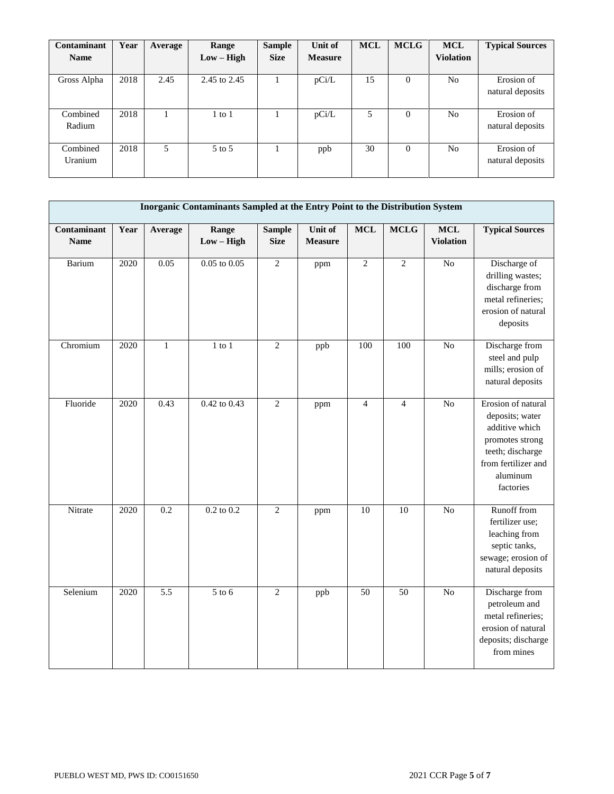| <b>Contaminant</b> | Year | Average | Range        | <b>Sample</b> | Unit of        | <b>MCL</b> | <b>MCLG</b> | <b>MCL</b>       | <b>Typical Sources</b> |
|--------------------|------|---------|--------------|---------------|----------------|------------|-------------|------------------|------------------------|
| <b>Name</b>        |      |         | $Low - High$ | <b>Size</b>   | <b>Measure</b> |            |             | <b>Violation</b> |                        |
|                    |      |         |              |               |                |            |             |                  |                        |
| Gross Alpha        | 2018 | 2.45    | 2.45 to 2.45 |               | pCi/L          | 15         | $\theta$    | N <sub>o</sub>   | Erosion of             |
|                    |      |         |              |               |                |            |             |                  | natural deposits       |
|                    |      |         |              |               |                |            |             |                  |                        |
| Combined           | 2018 |         | $1$ to $1$   |               | pCi/L          | 5          | $\Omega$    | N <sub>o</sub>   | Erosion of             |
| Radium             |      |         |              |               |                |            |             |                  | natural deposits       |
|                    |      |         |              |               |                |            |             |                  |                        |
| Combined           | 2018 | 5       | 5 to 5       |               | ppb            | 30         | $\Omega$    | N <sub>o</sub>   | Erosion of             |
| Uranium            |      |         |              |               |                |            |             |                  | natural deposits       |
|                    |      |         |              |               |                |            |             |                  |                        |

|                            | Inorganic Contaminants Sampled at the Entry Point to the Distribution System |              |                       |                              |                           |                |                |                                |                                                                                                                                                |  |  |
|----------------------------|------------------------------------------------------------------------------|--------------|-----------------------|------------------------------|---------------------------|----------------|----------------|--------------------------------|------------------------------------------------------------------------------------------------------------------------------------------------|--|--|
| Contaminant<br><b>Name</b> | Year                                                                         | Average      | Range<br>$Low - High$ | <b>Sample</b><br><b>Size</b> | Unit of<br><b>Measure</b> | <b>MCL</b>     | <b>MCLG</b>    | <b>MCL</b><br><b>Violation</b> | <b>Typical Sources</b>                                                                                                                         |  |  |
| Barium                     | $\overline{2020}$                                                            | 0.05         | $0.05$ to $0.05$      | $\overline{2}$               | ppm                       | $\overline{2}$ | $\overline{2}$ | N <sub>o</sub>                 | Discharge of<br>drilling wastes;<br>discharge from<br>metal refineries;<br>erosion of natural<br>deposits                                      |  |  |
| Chromium                   | 2020                                                                         | $\mathbf{1}$ | $1$ to $1$            | $\overline{2}$               | ppb                       | 100            | 100            | N <sub>o</sub>                 | Discharge from<br>steel and pulp<br>mills; erosion of<br>natural deposits                                                                      |  |  |
| Fluoride                   | 2020                                                                         | 0.43         | 0.42 to 0.43          | $\overline{2}$               | ppm                       | $\overline{4}$ | $\overline{4}$ | $\overline{No}$                | Erosion of natural<br>deposits; water<br>additive which<br>promotes strong<br>teeth; discharge<br>from fertilizer and<br>aluminum<br>factories |  |  |
| Nitrate                    | 2020                                                                         | 0.2          | $0.2$ to $0.2$        | $\overline{2}$               | ppm                       | 10             | 10             | N <sub>o</sub>                 | Runoff from<br>fertilizer use;<br>leaching from<br>septic tanks,<br>sewage; erosion of<br>natural deposits                                     |  |  |
| Selenium                   | 2020                                                                         | 5.5          | $5$ to $6$            | $\overline{2}$               | ppb                       | 50             | 50             | No                             | Discharge from<br>petroleum and<br>metal refineries;<br>erosion of natural<br>deposits; discharge<br>from mines                                |  |  |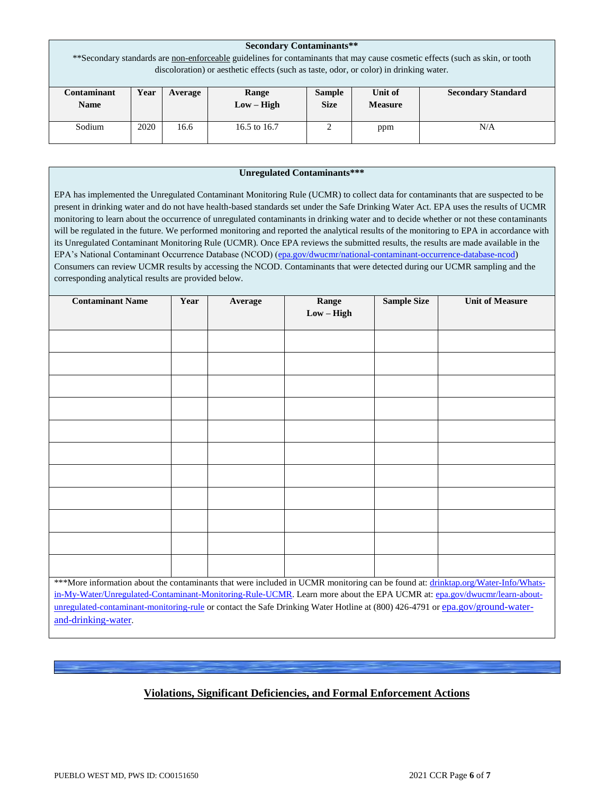| <b>Secondary Contaminants**</b><br>** Secondary standards are non-enforceable guidelines for contaminants that may cause cosmetic effects (such as skin, or tooth |                                                                                                                                    |  |  |  |  |  |  |  |  |
|-------------------------------------------------------------------------------------------------------------------------------------------------------------------|------------------------------------------------------------------------------------------------------------------------------------|--|--|--|--|--|--|--|--|
| discoloration) or aesthetic effects (such as taste, odor, or color) in drinking water.                                                                            |                                                                                                                                    |  |  |  |  |  |  |  |  |
| Contaminant<br><b>Name</b>                                                                                                                                        | Unit of<br><b>Secondary Standard</b><br>Year<br><b>Sample</b><br>Range<br>Average<br>$Low - High$<br><b>Size</b><br><b>Measure</b> |  |  |  |  |  |  |  |  |
| Sodium                                                                                                                                                            | 2020<br>16.6<br>16.5 to 16.7<br>◠<br>N/A<br>ppm                                                                                    |  |  |  |  |  |  |  |  |

#### **Unregulated Contaminants\*\*\***

EPA has implemented the Unregulated Contaminant Monitoring Rule (UCMR) to collect data for contaminants that are suspected to be present in drinking water and do not have health-based standards set under the Safe Drinking Water Act. EPA uses the results of UCMR monitoring to learn about the occurrence of unregulated contaminants in drinking water and to decide whether or not these contaminants will be regulated in the future. We performed monitoring and reported the analytical results of the monitoring to EPA in accordance with its Unregulated Contaminant Monitoring Rule (UCMR). Once EPA reviews the submitted results, the results are made available in the EPA's National Contaminant Occurrence Database (NCOD) [\(epa.gov/dwucmr/national-contaminant-occurrence-database-ncod\)](http://www.epa.gov/dwucmr/national-contaminant-occurrence-database-ncod) Consumers can review UCMR results by accessing the NCOD. Contaminants that were detected during our UCMR sampling and the corresponding analytical results are provided below.

| <b>Contaminant Name</b>                                                                                                          | Year                                                                                                                    | Average | Range        | <b>Sample Size</b> | <b>Unit of Measure</b> |  |  |
|----------------------------------------------------------------------------------------------------------------------------------|-------------------------------------------------------------------------------------------------------------------------|---------|--------------|--------------------|------------------------|--|--|
|                                                                                                                                  |                                                                                                                         |         | $Low - High$ |                    |                        |  |  |
|                                                                                                                                  |                                                                                                                         |         |              |                    |                        |  |  |
|                                                                                                                                  |                                                                                                                         |         |              |                    |                        |  |  |
|                                                                                                                                  |                                                                                                                         |         |              |                    |                        |  |  |
|                                                                                                                                  |                                                                                                                         |         |              |                    |                        |  |  |
|                                                                                                                                  |                                                                                                                         |         |              |                    |                        |  |  |
|                                                                                                                                  |                                                                                                                         |         |              |                    |                        |  |  |
|                                                                                                                                  |                                                                                                                         |         |              |                    |                        |  |  |
|                                                                                                                                  |                                                                                                                         |         |              |                    |                        |  |  |
|                                                                                                                                  |                                                                                                                         |         |              |                    |                        |  |  |
|                                                                                                                                  |                                                                                                                         |         |              |                    |                        |  |  |
|                                                                                                                                  |                                                                                                                         |         |              |                    |                        |  |  |
|                                                                                                                                  |                                                                                                                         |         |              |                    |                        |  |  |
|                                                                                                                                  |                                                                                                                         |         |              |                    |                        |  |  |
|                                                                                                                                  |                                                                                                                         |         |              |                    |                        |  |  |
|                                                                                                                                  |                                                                                                                         |         |              |                    |                        |  |  |
|                                                                                                                                  |                                                                                                                         |         |              |                    |                        |  |  |
|                                                                                                                                  |                                                                                                                         |         |              |                    |                        |  |  |
| ***More information about the contaminants that were included in UCMR monitoring can be found at: drinktap.org/Water-Info/Whats- |                                                                                                                         |         |              |                    |                        |  |  |
|                                                                                                                                  | in-My-Water/Unregulated-Contaminant-Monitoring-Rule-UCMR. Learn more about the EPA UCMR at: epa.gov/dwucmr/learn-about- |         |              |                    |                        |  |  |
| unregulated-contaminant-monitoring-rule or contact the Safe Drinking Water Hotline at (800) 426-4791 or epa.gov/ground-water-    |                                                                                                                         |         |              |                    |                        |  |  |

[and-drinking-water](https://www.epa.gov/ground-water-and-drinking-water).

## **Violations, Significant Deficiencies, and Formal Enforcement Actions**